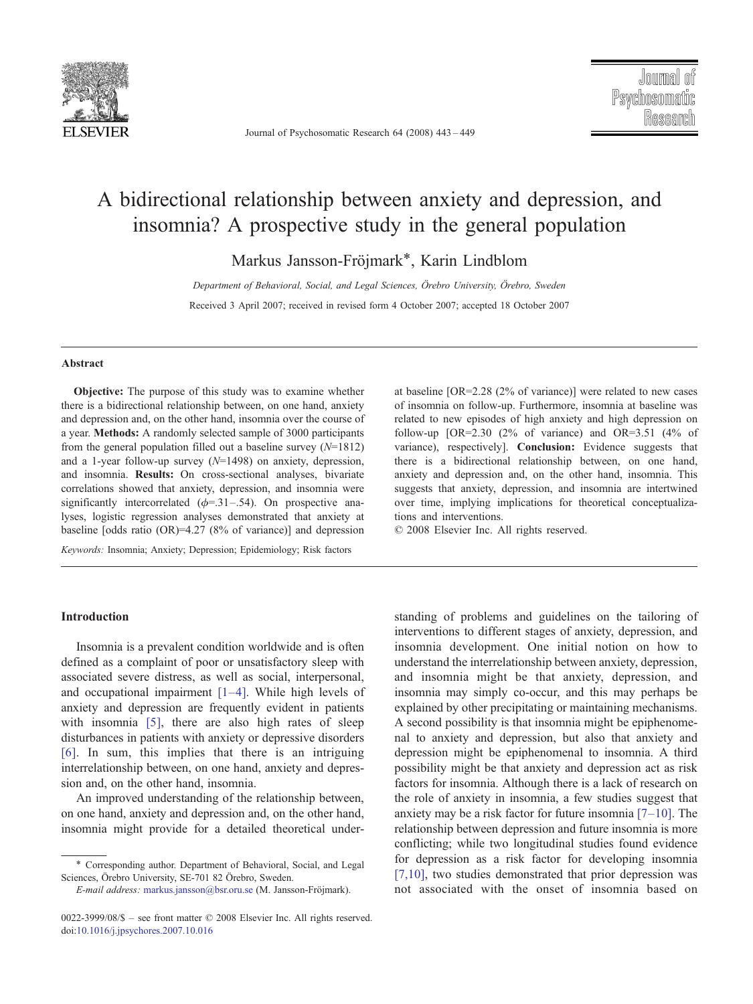

Journal of Psychosomatic Research 64 (2008) 443–449

# A bidirectional relationship between anxiety and depression, and insomnia? A prospective study in the general population

Markus Jansson-Fröjmark<sup>\*</sup>, Karin Lindblom

Department of Behavioral, Social, and Legal Sciences, Örebro University, Örebro, Sweden

Received 3 April 2007; received in revised form 4 October 2007; accepted 18 October 2007

#### **Abstract**

Objective: The purpose of this study was to examine whether there is a bidirectional relationship between, on one hand, anxiety and depression and, on the other hand, insomnia over the course of a year. Methods: A randomly selected sample of 3000 participants from the general population filled out a baseline survey  $(N=1812)$ and a 1-year follow-up survey (N=1498) on anxiety, depression, and insomnia. Results: On cross-sectional analyses, bivariate correlations showed that anxiety, depression, and insomnia were significantly intercorrelated ( $\phi$ =.31–.54). On prospective analyses, logistic regression analyses demonstrated that anxiety at baseline [odds ratio (OR)=4.27 (8% of variance)] and depression

Keywords: Insomnia; Anxiety; Depression; Epidemiology; Risk factors

# Introduction

Insomnia is a prevalent condition worldwide and is often defined as a complaint of poor or unsatisfactory sleep with associated severe distress, as well as social, interpersonal, and occupational impairment [1–[4\]](#page-5-0). While high levels of anxiety and depression are frequently evident in patients with insomnia [\[5\],](#page-5-0) there are also high rates of sleep disturbances in patients with anxiety or depressive disorders [\[6\]](#page-5-0). In sum, this implies that there is an intriguing interrelationship between, on one hand, anxiety and depression and, on the other hand, insomnia.

An improved understanding of the relationship between, on one hand, anxiety and depression and, on the other hand, insomnia might provide for a detailed theoretical underat baseline [OR=2.28 (2% of variance)] were related to new cases of insomnia on follow-up. Furthermore, insomnia at baseline was related to new episodes of high anxiety and high depression on follow-up [OR=2.30 (2% of variance) and OR=3.51 (4% of variance), respectively]. Conclusion: Evidence suggests that there is a bidirectional relationship between, on one hand, anxiety and depression and, on the other hand, insomnia. This suggests that anxiety, depression, and insomnia are intertwined over time, implying implications for theoretical conceptualizations and interventions.

© 2008 Elsevier Inc. All rights reserved.

standing of problems and guidelines on the tailoring of interventions to different stages of anxiety, depression, and insomnia development. One initial notion on how to understand the interrelationship between anxiety, depression, and insomnia might be that anxiety, depression, and insomnia may simply co-occur, and this may perhaps be explained by other precipitating or maintaining mechanisms. A second possibility is that insomnia might be epiphenomenal to anxiety and depression, but also that anxiety and depression might be epiphenomenal to insomnia. A third possibility might be that anxiety and depression act as risk factors for insomnia. Although there is a lack of research on the role of anxiety in insomnia, a few studies suggest that anxiety may be a risk factor for future insomnia  $[7-10]$ . The relationship between depression and future insomnia is more conflicting; while two longitudinal studies found evidence for depression as a risk factor for developing insomnia [\[7,10\]](#page-5-0), two studies demonstrated that prior depression was not associated with the onset of insomnia based on

<sup>⁎</sup> Corresponding author. Department of Behavioral, Social, and Legal Sciences, Örebro University, SE-701 82 Örebro, Sweden.

E-mail address: [markus.jansson@bsr.oru.se](mailto:markus.jansson@bsr.oru.se) (M. Jansson-Fröjmark).

<sup>0022-3999/08/\$</sup> – see front matter © 2008 Elsevier Inc. All rights reserved. doi[:10.1016/j.jpsychores.2007.10.016](http://dx.doi.org/10.1016/j.jpsychores.2007.10.016)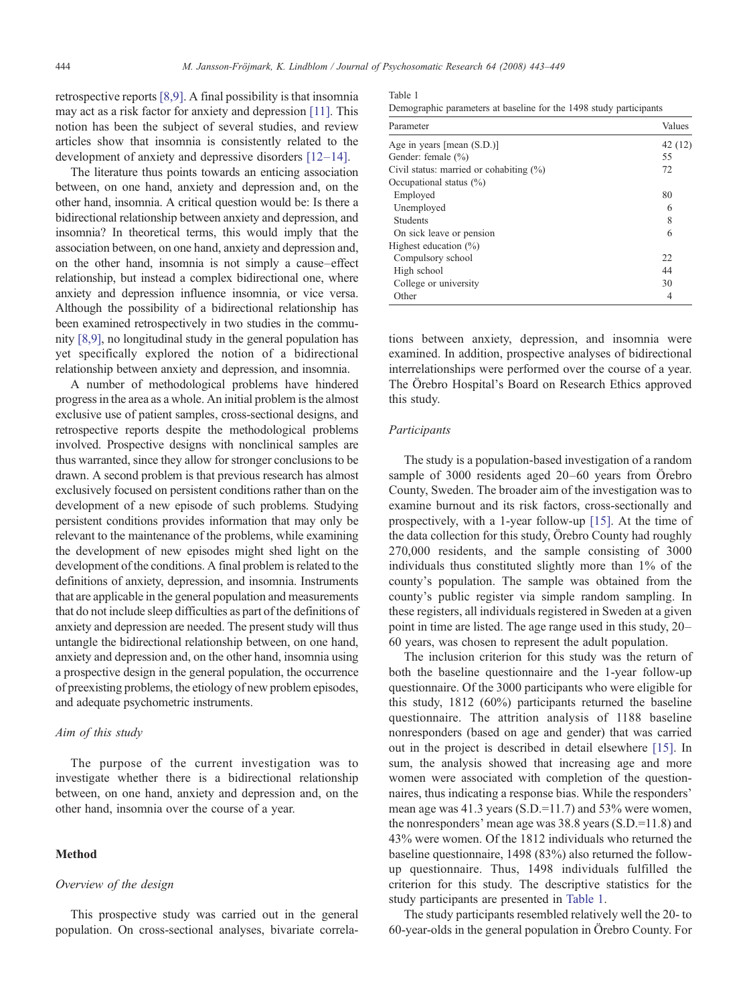retrospective reports [\[8,9\].](#page-5-0) A final possibility is that insomnia may act as a risk factor for anxiety and depression [\[11\]](#page-5-0). This notion has been the subject of several studies, and review articles show that insomnia is consistently related to the development of anxiety and depressive disorders [12–[14\]](#page-5-0).

The literature thus points towards an enticing association between, on one hand, anxiety and depression and, on the other hand, insomnia. A critical question would be: Is there a bidirectional relationship between anxiety and depression, and insomnia? In theoretical terms, this would imply that the association between, on one hand, anxiety and depression and, on the other hand, insomnia is not simply a cause–effect relationship, but instead a complex bidirectional one, where anxiety and depression influence insomnia, or vice versa. Although the possibility of a bidirectional relationship has been examined retrospectively in two studies in the community [\[8,9\],](#page-5-0) no longitudinal study in the general population has yet specifically explored the notion of a bidirectional relationship between anxiety and depression, and insomnia.

A number of methodological problems have hindered progress in the area as a whole. An initial problem is the almost exclusive use of patient samples, cross-sectional designs, and retrospective reports despite the methodological problems involved. Prospective designs with nonclinical samples are thus warranted, since they allow for stronger conclusions to be drawn. A second problem is that previous research has almost exclusively focused on persistent conditions rather than on the development of a new episode of such problems. Studying persistent conditions provides information that may only be relevant to the maintenance of the problems, while examining the development of new episodes might shed light on the development of the conditions. A final problem is related to the definitions of anxiety, depression, and insomnia. Instruments that are applicable in the general population and measurements that do not include sleep difficulties as part of the definitions of anxiety and depression are needed. The present study will thus untangle the bidirectional relationship between, on one hand, anxiety and depression and, on the other hand, insomnia using a prospective design in the general population, the occurrence of preexisting problems, the etiology of new problem episodes, and adequate psychometric instruments.

# Aim of this study

The purpose of the current investigation was to investigate whether there is a bidirectional relationship between, on one hand, anxiety and depression and, on the other hand, insomnia over the course of a year.

## Method

## Overview of the design

This prospective study was carried out in the general population. On cross-sectional analyses, bivariate correla-

| Table 1                                                            |  |  |  |  |
|--------------------------------------------------------------------|--|--|--|--|
| Demographic parameters at baseline for the 1498 study participants |  |  |  |  |

| Parameter                                  | Values  |
|--------------------------------------------|---------|
| Age in years [mean (S.D.)]                 | 42 (12) |
| Gender: female (%)                         | 55      |
| Civil status: married or cohabiting $(\%)$ | 72      |
| Occupational status $(\%)$                 |         |
| Employed                                   | 80      |
| Unemployed                                 | 6       |
| <b>Students</b>                            | 8       |
| On sick leave or pension                   | 6       |
| Highest education $(\%)$                   |         |
| Compulsory school                          | 22      |
| High school                                | 44      |
| College or university                      | 30      |
| Other                                      | 4       |

tions between anxiety, depression, and insomnia were examined. In addition, prospective analyses of bidirectional interrelationships were performed over the course of a year. The Örebro Hospital's Board on Research Ethics approved this study.

#### Participants

The study is a population-based investigation of a random sample of 3000 residents aged 20–60 years from Örebro County, Sweden. The broader aim of the investigation was to examine burnout and its risk factors, cross-sectionally and prospectively, with a 1-year follow-up [\[15\].](#page-5-0) At the time of the data collection for this study, Örebro County had roughly 270,000 residents, and the sample consisting of 3000 individuals thus constituted slightly more than 1% of the county's population. The sample was obtained from the county's public register via simple random sampling. In these registers, all individuals registered in Sweden at a given point in time are listed. The age range used in this study, 20– 60 years, was chosen to represent the adult population.

The inclusion criterion for this study was the return of both the baseline questionnaire and the 1-year follow-up questionnaire. Of the 3000 participants who were eligible for this study, 1812 (60%) participants returned the baseline questionnaire. The attrition analysis of 1188 baseline nonresponders (based on age and gender) that was carried out in the project is described in detail elsewhere [\[15\]](#page-5-0). In sum, the analysis showed that increasing age and more women were associated with completion of the questionnaires, thus indicating a response bias. While the responders' mean age was 41.3 years (S.D.=11.7) and 53% were women, the nonresponders' mean age was 38.8 years (S.D.=11.8) and 43% were women. Of the 1812 individuals who returned the baseline questionnaire, 1498 (83%) also returned the followup questionnaire. Thus, 1498 individuals fulfilled the criterion for this study. The descriptive statistics for the study participants are presented in Table 1.

The study participants resembled relatively well the 20- to 60-year-olds in the general population in Örebro County. For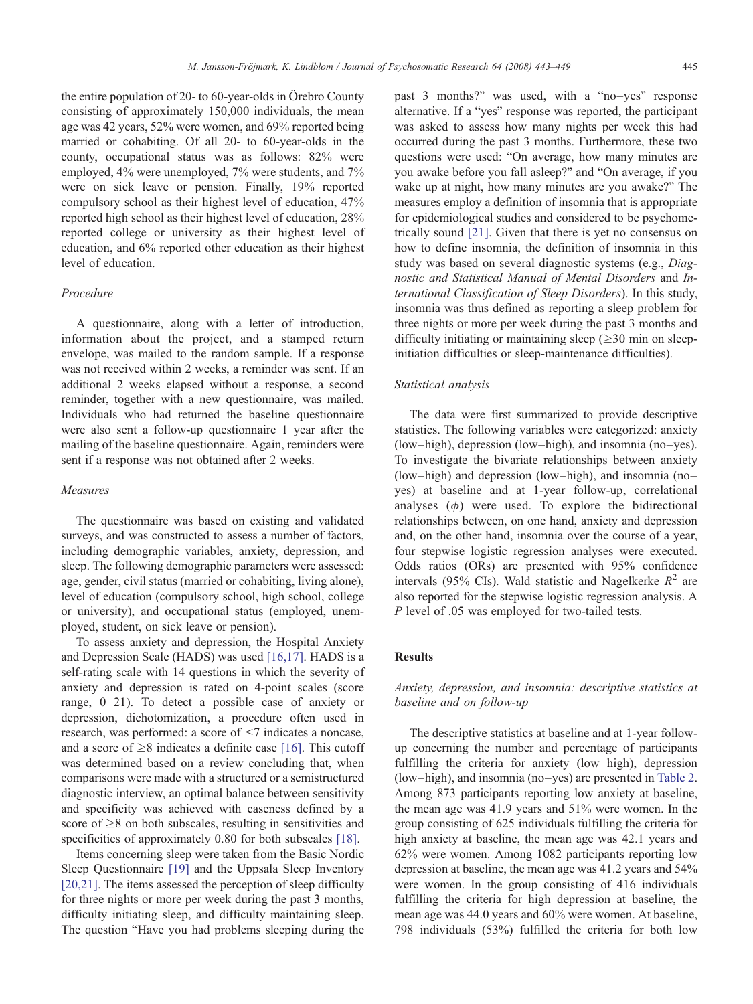the entire population of 20- to 60-year-olds in Örebro County consisting of approximately 150,000 individuals, the mean age was 42 years, 52% were women, and 69% reported being married or cohabiting. Of all 20- to 60-year-olds in the county, occupational status was as follows: 82% were employed, 4% were unemployed, 7% were students, and 7% were on sick leave or pension. Finally, 19% reported compulsory school as their highest level of education, 47% reported high school as their highest level of education, 28% reported college or university as their highest level of education, and 6% reported other education as their highest level of education.

## Procedure

A questionnaire, along with a letter of introduction, information about the project, and a stamped return envelope, was mailed to the random sample. If a response was not received within 2 weeks, a reminder was sent. If an additional 2 weeks elapsed without a response, a second reminder, together with a new questionnaire, was mailed. Individuals who had returned the baseline questionnaire were also sent a follow-up questionnaire 1 year after the mailing of the baseline questionnaire. Again, reminders were sent if a response was not obtained after 2 weeks.

# Measures

The questionnaire was based on existing and validated surveys, and was constructed to assess a number of factors, including demographic variables, anxiety, depression, and sleep. The following demographic parameters were assessed: age, gender, civil status (married or cohabiting, living alone), level of education (compulsory school, high school, college or university), and occupational status (employed, unemployed, student, on sick leave or pension).

To assess anxiety and depression, the Hospital Anxiety and Depression Scale (HADS) was used [\[16,17\]](#page-5-0). HADS is a self-rating scale with 14 questions in which the severity of anxiety and depression is rated on 4-point scales (score range, 0–21). To detect a possible case of anxiety or depression, dichotomization, a procedure often used in research, was performed: a score of ≤7 indicates a noncase, and a score of  $\geq$ 8 indicates a definite case [\[16\].](#page-5-0) This cutoff was determined based on a review concluding that, when comparisons were made with a structured or a semistructured diagnostic interview, an optimal balance between sensitivity and specificity was achieved with caseness defined by a score of  $\geq$ 8 on both subscales, resulting in sensitivities and specificities of approximately 0.80 for both subscales [\[18\].](#page-5-0)

Items concerning sleep were taken from the Basic Nordic Sleep Questionnaire [\[19\]](#page-5-0) and the Uppsala Sleep Inventory [\[20,21\]](#page-6-0). The items assessed the perception of sleep difficulty for three nights or more per week during the past 3 months, difficulty initiating sleep, and difficulty maintaining sleep. The question "Have you had problems sleeping during the past 3 months?" was used, with a "no–yes" response alternative. If a "yes" response was reported, the participant was asked to assess how many nights per week this had occurred during the past 3 months. Furthermore, these two questions were used: "On average, how many minutes are you awake before you fall asleep?" and "On average, if you wake up at night, how many minutes are you awake?" The measures employ a definition of insomnia that is appropriate for epidemiological studies and considered to be psychometrically sound [\[21\]](#page-6-0). Given that there is yet no consensus on how to define insomnia, the definition of insomnia in this study was based on several diagnostic systems (e.g., Diagnostic and Statistical Manual of Mental Disorders and International Classification of Sleep Disorders). In this study, insomnia was thus defined as reporting a sleep problem for three nights or more per week during the past 3 months and difficulty initiating or maintaining sleep ( $\geq$ 30 min on sleepinitiation difficulties or sleep-maintenance difficulties).

#### Statistical analysis

The data were first summarized to provide descriptive statistics. The following variables were categorized: anxiety (low–high), depression (low–high), and insomnia (no–yes). To investigate the bivariate relationships between anxiety (low–high) and depression (low–high), and insomnia (no– yes) at baseline and at 1-year follow-up, correlational analyses  $(φ)$  were used. To explore the bidirectional relationships between, on one hand, anxiety and depression and, on the other hand, insomnia over the course of a year, four stepwise logistic regression analyses were executed. Odds ratios (ORs) are presented with 95% confidence intervals (95% CIs). Wald statistic and Nagelkerke  $R^2$  are also reported for the stepwise logistic regression analysis. A P level of .05 was employed for two-tailed tests.

# **Results**

# Anxiety, depression, and insomnia: descriptive statistics at baseline and on follow-up

The descriptive statistics at baseline and at 1-year followup concerning the number and percentage of participants fulfilling the criteria for anxiety (low–high), depression (low–high), and insomnia (no–yes) are presented in [Table 2.](#page-3-0) Among 873 participants reporting low anxiety at baseline, the mean age was 41.9 years and 51% were women. In the group consisting of 625 individuals fulfilling the criteria for high anxiety at baseline, the mean age was 42.1 years and 62% were women. Among 1082 participants reporting low depression at baseline, the mean age was 41.2 years and 54% were women. In the group consisting of 416 individuals fulfilling the criteria for high depression at baseline, the mean age was 44.0 years and 60% were women. At baseline, 798 individuals (53%) fulfilled the criteria for both low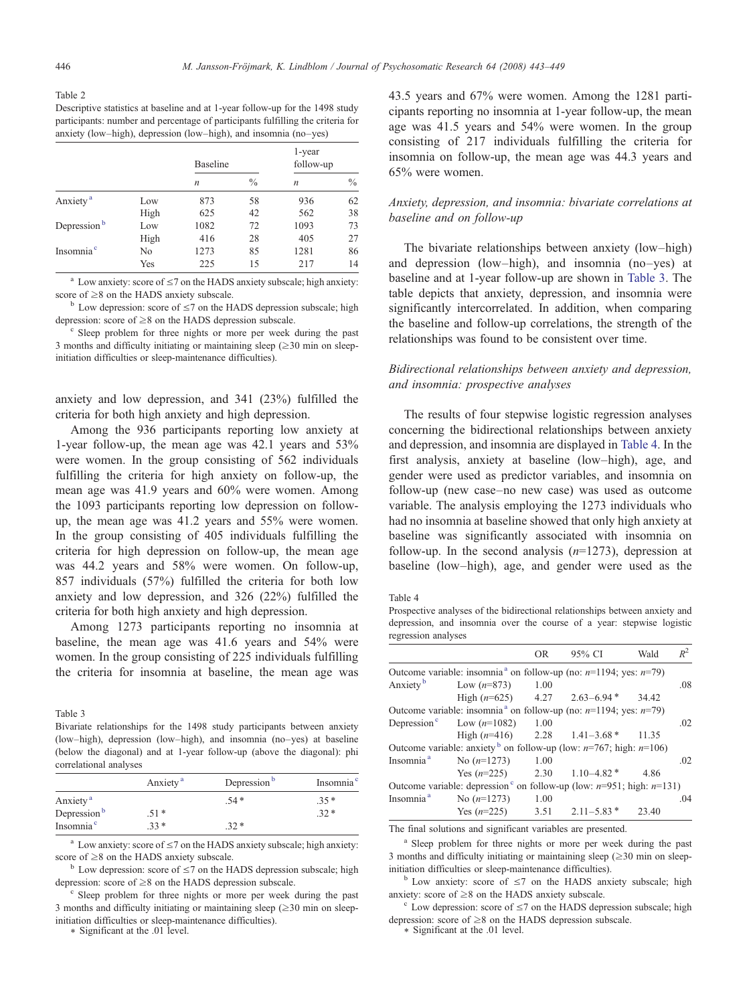#### <span id="page-3-0"></span>Table 2

Descriptive statistics at baseline and at 1-year follow-up for the 1498 study participants: number and percentage of participants fulfilling the criteria for anxiety (low–high), depression (low–high), and insomnia (no–yes)

|                         |                | <b>Baseline</b> |               | 1-year<br>follow-up |               |
|-------------------------|----------------|-----------------|---------------|---------------------|---------------|
|                         |                | n               | $\frac{0}{0}$ | $\boldsymbol{n}$    | $\frac{0}{0}$ |
| Anxiety <sup>a</sup>    | Low            | 873             | 58            | 936                 | 62            |
|                         | High           | 625             | 42            | 562                 | 38            |
| Depression <sup>b</sup> | Low            | 1082            | 72            | 1093                | 73            |
|                         | High           | 416             | 28            | 405                 | 27            |
| Insomnia <sup>c</sup>   | N <sub>0</sub> | 1273            | 85            | 1281                | 86            |
|                         | Yes            | 225             | 15            | 217                 | 14            |

<sup>a</sup> Low anxiety: score of  $\leq$ 7 on the HADS anxiety subscale; high anxiety: score of  $\geq$ 8 on the HADS anxiety subscale.<br><sup>b</sup> Low depression: score of  $\leq$ 7 on the HADS depression subscale; high

depression: score of ≥8 on the HADS depression subscale.

<sup>c</sup> Sleep problem for three nights or more per week during the past 3 months and difficulty initiating or maintaining sleep ( $\geq$ 30 min on sleepinitiation difficulties or sleep-maintenance difficulties).

anxiety and low depression, and 341 (23%) fulfilled the criteria for both high anxiety and high depression.

Among the 936 participants reporting low anxiety at 1-year follow-up, the mean age was 42.1 years and 53% were women. In the group consisting of 562 individuals fulfilling the criteria for high anxiety on follow-up, the mean age was 41.9 years and 60% were women. Among the 1093 participants reporting low depression on followup, the mean age was 41.2 years and 55% were women. In the group consisting of 405 individuals fulfilling the criteria for high depression on follow-up, the mean age was 44.2 years and 58% were women. On follow-up, 857 individuals (57%) fulfilled the criteria for both low anxiety and low depression, and 326 (22%) fulfilled the criteria for both high anxiety and high depression.

Among 1273 participants reporting no insomnia at baseline, the mean age was 41.6 years and 54% were women. In the group consisting of 225 individuals fulfilling the criteria for insomnia at baseline, the mean age was

Table 3

Bivariate relationships for the 1498 study participants between anxiety (low–high), depression (low–high), and insomnia (no–yes) at baseline (below the diagonal) and at 1-year follow-up (above the diagonal): phi correlational analyses

|                         | Anxiety <sup>a</sup> | Depression <sup>b</sup> | Insomnia <sup>c</sup> |  |
|-------------------------|----------------------|-------------------------|-----------------------|--|
| Anxiety <sup>a</sup>    |                      | $.54*$                  | $.35*$                |  |
| Depression <sup>b</sup> | $.51*$               |                         | $.32*$                |  |
| Insomnia <sup>c</sup>   | $33*$                | $32*$                   |                       |  |

<sup>a</sup> Low anxiety: score of  $\leq$ 7 on the HADS anxiety subscale; high anxiety: score of ≥8 on the HADS anxiety subscale.

 $<sup>b</sup>$  Low depression: score of  $\leq$ 7 on the HADS depression subscale; high</sup> depression: score of  $\geq$ 8 on the HADS depression subscale. <sup>c</sup> Sleep problem for three nights or more per week during the past

3 months and difficulty initiating or maintaining sleep (≥30 min on sleepinitiation difficulties or sleep-maintenance difficulties).

⁎ Significant at the .01 level.

43.5 years and 67% were women. Among the 1281 participants reporting no insomnia at 1-year follow-up, the mean age was 41.5 years and 54% were women. In the group consisting of 217 individuals fulfilling the criteria for insomnia on follow-up, the mean age was 44.3 years and 65% were women.

# Anxiety, depression, and insomnia: bivariate correlations at baseline and on follow-up

The bivariate relationships between anxiety (low–high) and depression (low–high), and insomnia (no–yes) at baseline and at 1-year follow-up are shown in Table 3. The table depicts that anxiety, depression, and insomnia were significantly intercorrelated. In addition, when comparing the baseline and follow-up correlations, the strength of the relationships was found to be consistent over time.

# Bidirectional relationships between anxiety and depression, and insomnia: prospective analyses

The results of four stepwise logistic regression analyses concerning the bidirectional relationships between anxiety and depression, and insomnia are displayed in Table 4. In the first analysis, anxiety at baseline (low–high), age, and gender were used as predictor variables, and insomnia on follow-up (new case–no new case) was used as outcome variable. The analysis employing the 1273 individuals who had no insomnia at baseline showed that only high anxiety at baseline was significantly associated with insomnia on follow-up. In the second analysis  $(n=1273)$ , depression at baseline (low–high), age, and gender were used as the

Table 4

Prospective analyses of the bidirectional relationships between anxiety and depression, and insomnia over the course of a year: stepwise logistic regression analyses

|                                                                                     |                                                                                         | <b>OR</b> | 95% CI          | Wald  | $R^2$ |
|-------------------------------------------------------------------------------------|-----------------------------------------------------------------------------------------|-----------|-----------------|-------|-------|
|                                                                                     | Outcome variable: insomnia <sup>a</sup> on follow-up (no: $n=1194$ ; yes: $n=79$ )      |           |                 |       |       |
| Anxiety <sup>b</sup>                                                                | Low $(n=873)$ 1.00                                                                      |           |                 |       | .08   |
|                                                                                     | High $(n=625)$ 4.27                                                                     |           | $2.63 - 6.94*$  | 34.42 |       |
| Outcome variable: insomnia <sup>a</sup> on follow-up (no: $n=1194$ ; yes: $n=79$ )  |                                                                                         |           |                 |       |       |
|                                                                                     | Depression <sup>c</sup> Low $(n=1082)$                                                  | 1.00      |                 |       | .02   |
|                                                                                     | High $(n=416)$ 2.28                                                                     |           | $1.41 - 3.68$ * | 11.35 |       |
| Outcome variable: anxiety <sup>b</sup> on follow-up (low: $n=767$ ; high: $n=106$ ) |                                                                                         |           |                 |       |       |
| Insomnia <sup>a</sup>                                                               | No $(n=1273)$                                                                           | 1.00      |                 |       | .02   |
|                                                                                     | Yes $(n=225)$                                                                           | 2.30      | $1.10 - 4.82*$  | 4.86  |       |
|                                                                                     | Outcome variable: depression $\textdegree$ on follow-up (low: $n=951$ ; high: $n=131$ ) |           |                 |       |       |
| Insomnia <sup>a</sup>                                                               | No $(n=1273)$                                                                           | 1.00      |                 |       | .04   |
|                                                                                     | Yes $(n=225)$                                                                           | 3.51      | $2.11 - 5.83*$  | 23.40 |       |

The final solutions and significant variables are presented.

<sup>a</sup> Sleep problem for three nights or more per week during the past 3 months and difficulty initiating or maintaining sleep (≥30 min on sleepinitiation difficulties or sleep-maintenance difficulties).

<sup>b</sup> Low anxiety: score of  $\leq$ 7 on the HADS anxiety subscale; high anxiety: score of  $\geq$ 8 on the HADS anxiety subscale. c Low depression: score of  $\leq$ 7 on the HADS depression subscale; high

depression: score of ≥8 on the HADS depression subscale.

⁎ Significant at the .01 level.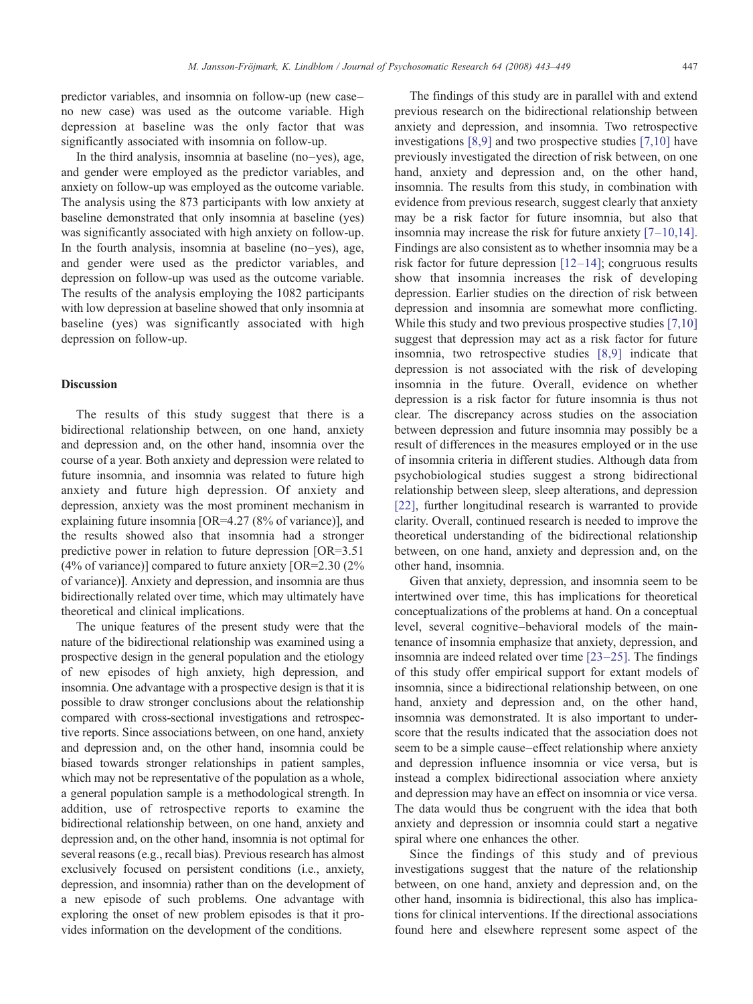predictor variables, and insomnia on follow-up (new case– no new case) was used as the outcome variable. High depression at baseline was the only factor that was significantly associated with insomnia on follow-up.

In the third analysis, insomnia at baseline (no–yes), age, and gender were employed as the predictor variables, and anxiety on follow-up was employed as the outcome variable. The analysis using the 873 participants with low anxiety at baseline demonstrated that only insomnia at baseline (yes) was significantly associated with high anxiety on follow-up. In the fourth analysis, insomnia at baseline (no–yes), age, and gender were used as the predictor variables, and depression on follow-up was used as the outcome variable. The results of the analysis employing the 1082 participants with low depression at baseline showed that only insomnia at baseline (yes) was significantly associated with high depression on follow-up.

# **Discussion**

The results of this study suggest that there is a bidirectional relationship between, on one hand, anxiety and depression and, on the other hand, insomnia over the course of a year. Both anxiety and depression were related to future insomnia, and insomnia was related to future high anxiety and future high depression. Of anxiety and depression, anxiety was the most prominent mechanism in explaining future insomnia [OR=4.27 (8% of variance)], and the results showed also that insomnia had a stronger predictive power in relation to future depression [OR=3.51  $(4\% \text{ of variance})$ ] compared to future anxiety [OR=2.30 (2%) of variance)]. Anxiety and depression, and insomnia are thus bidirectionally related over time, which may ultimately have theoretical and clinical implications.

The unique features of the present study were that the nature of the bidirectional relationship was examined using a prospective design in the general population and the etiology of new episodes of high anxiety, high depression, and insomnia. One advantage with a prospective design is that it is possible to draw stronger conclusions about the relationship compared with cross-sectional investigations and retrospective reports. Since associations between, on one hand, anxiety and depression and, on the other hand, insomnia could be biased towards stronger relationships in patient samples, which may not be representative of the population as a whole, a general population sample is a methodological strength. In addition, use of retrospective reports to examine the bidirectional relationship between, on one hand, anxiety and depression and, on the other hand, insomnia is not optimal for several reasons (e.g., recall bias). Previous research has almost exclusively focused on persistent conditions (i.e., anxiety, depression, and insomnia) rather than on the development of a new episode of such problems. One advantage with exploring the onset of new problem episodes is that it provides information on the development of the conditions.

The findings of this study are in parallel with and extend previous research on the bidirectional relationship between anxiety and depression, and insomnia. Two retrospective investigations [\[8,9\]](#page-5-0) and two prospective studies [\[7,10\]](#page-5-0) have previously investigated the direction of risk between, on one hand, anxiety and depression and, on the other hand, insomnia. The results from this study, in combination with evidence from previous research, suggest clearly that anxiety may be a risk factor for future insomnia, but also that insomnia may increase the risk for future anxiety [7–[10,14\].](#page-5-0) Findings are also consistent as to whether insomnia may be a risk factor for future depression [\[12](#page-5-0)–14]; congruous results show that insomnia increases the risk of developing depression. Earlier studies on the direction of risk between depression and insomnia are somewhat more conflicting. While this study and two previous prospective studies [\[7,10\]](#page-5-0) suggest that depression may act as a risk factor for future insomnia, two retrospective studies [\[8,9\]](#page-5-0) indicate that depression is not associated with the risk of developing insomnia in the future. Overall, evidence on whether depression is a risk factor for future insomnia is thus not clear. The discrepancy across studies on the association between depression and future insomnia may possibly be a result of differences in the measures employed or in the use of insomnia criteria in different studies. Although data from psychobiological studies suggest a strong bidirectional relationship between sleep, sleep alterations, and depression [\[22\],](#page-6-0) further longitudinal research is warranted to provide clarity. Overall, continued research is needed to improve the theoretical understanding of the bidirectional relationship between, on one hand, anxiety and depression and, on the other hand, insomnia.

Given that anxiety, depression, and insomnia seem to be intertwined over time, this has implications for theoretical conceptualizations of the problems at hand. On a conceptual level, several cognitive–behavioral models of the maintenance of insomnia emphasize that anxiety, depression, and insomnia are indeed related over time [23–[25\].](#page-6-0) The findings of this study offer empirical support for extant models of insomnia, since a bidirectional relationship between, on one hand, anxiety and depression and, on the other hand, insomnia was demonstrated. It is also important to underscore that the results indicated that the association does not seem to be a simple cause–effect relationship where anxiety and depression influence insomnia or vice versa, but is instead a complex bidirectional association where anxiety and depression may have an effect on insomnia or vice versa. The data would thus be congruent with the idea that both anxiety and depression or insomnia could start a negative spiral where one enhances the other.

Since the findings of this study and of previous investigations suggest that the nature of the relationship between, on one hand, anxiety and depression and, on the other hand, insomnia is bidirectional, this also has implications for clinical interventions. If the directional associations found here and elsewhere represent some aspect of the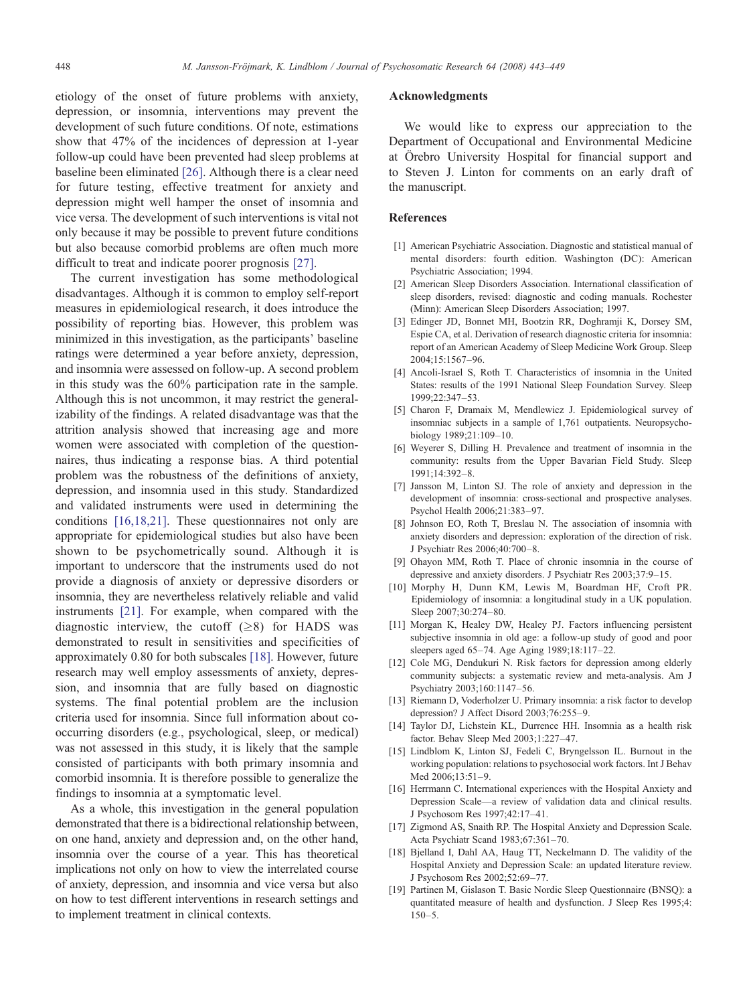<span id="page-5-0"></span>etiology of the onset of future problems with anxiety, depression, or insomnia, interventions may prevent the development of such future conditions. Of note, estimations show that 47% of the incidences of depression at 1-year follow-up could have been prevented had sleep problems at baseline been eliminated [\[26\].](#page-6-0) Although there is a clear need for future testing, effective treatment for anxiety and depression might well hamper the onset of insomnia and vice versa. The development of such interventions is vital not only because it may be possible to prevent future conditions but also because comorbid problems are often much more difficult to treat and indicate poorer prognosis [\[27\].](#page-6-0)

The current investigation has some methodological disadvantages. Although it is common to employ self-report measures in epidemiological research, it does introduce the possibility of reporting bias. However, this problem was minimized in this investigation, as the participants' baseline ratings were determined a year before anxiety, depression, and insomnia were assessed on follow-up. A second problem in this study was the 60% participation rate in the sample. Although this is not uncommon, it may restrict the generalizability of the findings. A related disadvantage was that the attrition analysis showed that increasing age and more women were associated with completion of the questionnaires, thus indicating a response bias. A third potential problem was the robustness of the definitions of anxiety, depression, and insomnia used in this study. Standardized and validated instruments were used in determining the conditions [16,18,21]. These questionnaires not only are appropriate for epidemiological studies but also have been shown to be psychometrically sound. Although it is important to underscore that the instruments used do not provide a diagnosis of anxiety or depressive disorders or insomnia, they are nevertheless relatively reliable and valid instruments [\[21\]](#page-6-0). For example, when compared with the diagnostic interview, the cutoff  $(\geq 8)$  for HADS was demonstrated to result in sensitivities and specificities of approximately 0.80 for both subscales [18]. However, future research may well employ assessments of anxiety, depression, and insomnia that are fully based on diagnostic systems. The final potential problem are the inclusion criteria used for insomnia. Since full information about cooccurring disorders (e.g., psychological, sleep, or medical) was not assessed in this study, it is likely that the sample consisted of participants with both primary insomnia and comorbid insomnia. It is therefore possible to generalize the findings to insomnia at a symptomatic level.

As a whole, this investigation in the general population demonstrated that there is a bidirectional relationship between, on one hand, anxiety and depression and, on the other hand, insomnia over the course of a year. This has theoretical implications not only on how to view the interrelated course of anxiety, depression, and insomnia and vice versa but also on how to test different interventions in research settings and to implement treatment in clinical contexts.

## Acknowledgments

We would like to express our appreciation to the Department of Occupational and Environmental Medicine at Örebro University Hospital for financial support and to Steven J. Linton for comments on an early draft of the manuscript.

# References

- [1] American Psychiatric Association. Diagnostic and statistical manual of mental disorders: fourth edition. Washington (DC): American Psychiatric Association; 1994.
- [2] American Sleep Disorders Association. International classification of sleep disorders, revised: diagnostic and coding manuals. Rochester (Minn): American Sleep Disorders Association; 1997.
- [3] Edinger JD, Bonnet MH, Bootzin RR, Doghramji K, Dorsey SM, Espie CA, et al. Derivation of research diagnostic criteria for insomnia: report of an American Academy of Sleep Medicine Work Group. Sleep 2004;15:1567–96.
- [4] Ancoli-Israel S, Roth T. Characteristics of insomnia in the United States: results of the 1991 National Sleep Foundation Survey. Sleep 1999;22:347–53.
- [5] Charon F, Dramaix M, Mendlewicz J. Epidemiological survey of insomniac subjects in a sample of 1,761 outpatients. Neuropsychobiology 1989;21:109–10.
- [6] Weyerer S, Dilling H. Prevalence and treatment of insomnia in the community: results from the Upper Bavarian Field Study. Sleep 1991;14:392–8.
- [7] Jansson M, Linton SJ. The role of anxiety and depression in the development of insomnia: cross-sectional and prospective analyses. Psychol Health 2006;21:383–97.
- [8] Johnson EO, Roth T, Breslau N. The association of insomnia with anxiety disorders and depression: exploration of the direction of risk. J Psychiatr Res 2006;40:700–8.
- [9] Ohayon MM, Roth T. Place of chronic insomnia in the course of depressive and anxiety disorders. J Psychiatr Res 2003;37:9–15.
- [10] Morphy H, Dunn KM, Lewis M, Boardman HF, Croft PR. Epidemiology of insomnia: a longitudinal study in a UK population. Sleep 2007;30:274–80.
- [11] Morgan K, Healey DW, Healey PJ. Factors influencing persistent subjective insomnia in old age: a follow-up study of good and poor sleepers aged 65–74. Age Aging 1989;18:117–22.
- [12] Cole MG, Dendukuri N. Risk factors for depression among elderly community subjects: a systematic review and meta-analysis. Am J Psychiatry 2003;160:1147–56.
- [13] Riemann D, Voderholzer U. Primary insomnia: a risk factor to develop depression? J Affect Disord 2003;76:255–9.
- [14] Taylor DJ, Lichstein KL, Durrence HH. Insomnia as a health risk factor. Behav Sleep Med 2003;1:227–47.
- [15] Lindblom K, Linton SJ, Fedeli C, Bryngelsson IL. Burnout in the working population: relations to psychosocial work factors. Int J Behav Med 2006;13:51–9.
- [16] Herrmann C. International experiences with the Hospital Anxiety and Depression Scale—a review of validation data and clinical results. J Psychosom Res 1997;42:17–41.
- [17] Zigmond AS, Snaith RP. The Hospital Anxiety and Depression Scale. Acta Psychiatr Scand 1983;67:361–70.
- [18] Bjelland I, Dahl AA, Haug TT, Neckelmann D. The validity of the Hospital Anxiety and Depression Scale: an updated literature review. J Psychosom Res 2002;52:69–77.
- [19] Partinen M, Gislason T. Basic Nordic Sleep Questionnaire (BNSQ): a quantitated measure of health and dysfunction. J Sleep Res 1995;4:  $150 - 5$ .